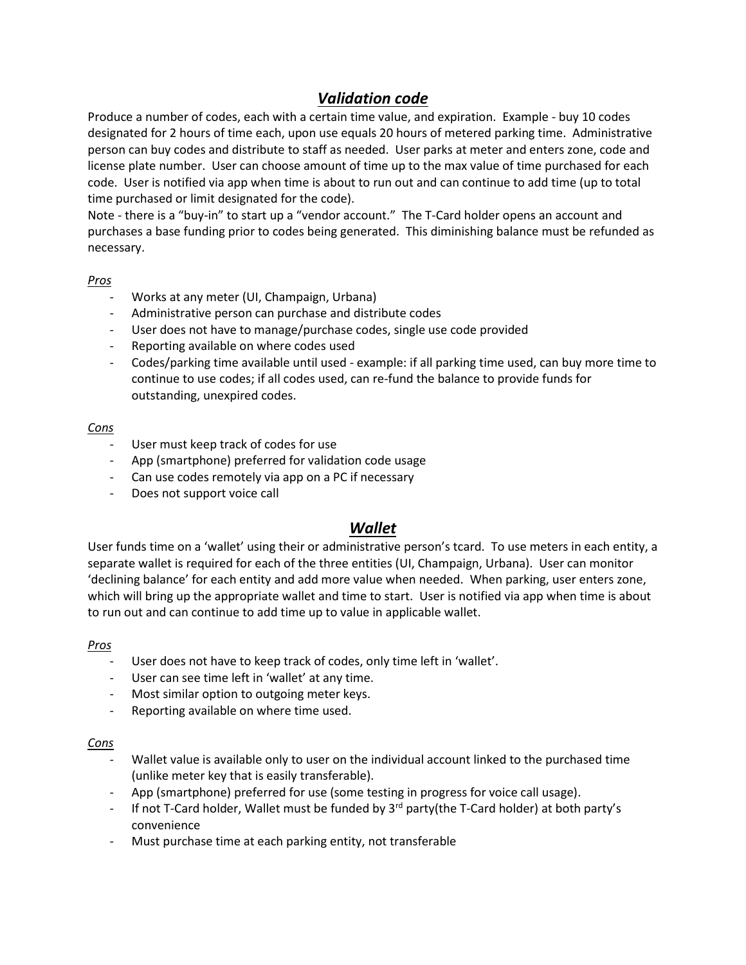# *Validation code*

Produce a number of codes, each with a certain time value, and expiration. Example - buy 10 codes designated for 2 hours of time each, upon use equals 20 hours of metered parking time. Administrative person can buy codes and distribute to staff as needed. User parks at meter and enters zone, code and license plate number. User can choose amount of time up to the max value of time purchased for each code. User is notified via app when time is about to run out and can continue to add time (up to total time purchased or limit designated for the code).

Note - there is a "buy-in" to start up a "vendor account." The T-Card holder opens an account and purchases a base funding prior to codes being generated. This diminishing balance must be refunded as necessary.

#### *Pros*

- Works at any meter (UI, Champaign, Urbana)
- Administrative person can purchase and distribute codes
- User does not have to manage/purchase codes, single use code provided
- Reporting available on where codes used
- Codes/parking time available until used example: if all parking time used, can buy more time to continue to use codes; if all codes used, can re-fund the balance to provide funds for outstanding, unexpired codes.

## *Cons*

- User must keep track of codes for use
- App (smartphone) preferred for validation code usage
- Can use codes remotely via app on a PC if necessary
- Does not support voice call

# *Wallet*

User funds time on a 'wallet' using their or administrative person's tcard. To use meters in each entity, a separate wallet is required for each of the three entities (UI, Champaign, Urbana). User can monitor 'declining balance' for each entity and add more value when needed. When parking, user enters zone, which will bring up the appropriate wallet and time to start. User is notified via app when time is about to run out and can continue to add time up to value in applicable wallet.

## *Pros*

- User does not have to keep track of codes, only time left in 'wallet'.
- User can see time left in 'wallet' at any time.
- Most similar option to outgoing meter keys.
- Reporting available on where time used.

#### *Cons*

- Wallet value is available only to user on the individual account linked to the purchased time (unlike meter key that is easily transferable).
- App (smartphone) preferred for use (some testing in progress for voice call usage).
- If not T-Card holder, Wallet must be funded by 3<sup>rd</sup> party(the T-Card holder) at both party's convenience
- Must purchase time at each parking entity, not transferable